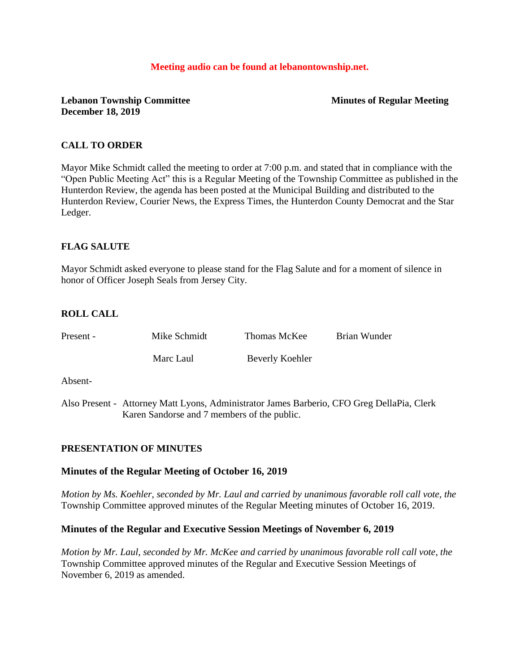#### **Meeting audio can be found at lebanontownship.net.**

## **Lebanon Township Committee Minutes of Regular Meeting December 18, 2019**

## **CALL TO ORDER**

Mayor Mike Schmidt called the meeting to order at 7:00 p.m. and stated that in compliance with the "Open Public Meeting Act" this is a Regular Meeting of the Township Committee as published in the Hunterdon Review, the agenda has been posted at the Municipal Building and distributed to the Hunterdon Review, Courier News, the Express Times, the Hunterdon County Democrat and the Star Ledger.

## **FLAG SALUTE**

Mayor Schmidt asked everyone to please stand for the Flag Salute and for a moment of silence in honor of Officer Joseph Seals from Jersey City.

## **ROLL CALL**

| Present - | Mike Schmidt | Thomas McKee    | Brian Wunder                                                                               |
|-----------|--------------|-----------------|--------------------------------------------------------------------------------------------|
|           | Marc Laul    | Beverly Koehler |                                                                                            |
| Absent-   |              |                 |                                                                                            |
|           |              |                 | Also Present - Attorney Matt Lyons, Administrator James Barberio, CFO Greg DellaPia, Clerk |

# Karen Sandorse and 7 members of the public.

## **PRESENTATION OF MINUTES**

## **Minutes of the Regular Meeting of October 16, 2019**

*Motion by Ms. Koehler, seconded by Mr. Laul and carried by unanimous favorable roll call vote, the* Township Committee approved minutes of the Regular Meeting minutes of October 16, 2019.

## **Minutes of the Regular and Executive Session Meetings of November 6, 2019**

*Motion by Mr. Laul, seconded by Mr. McKee and carried by unanimous favorable roll call vote, the* Township Committee approved minutes of the Regular and Executive Session Meetings of November 6, 2019 as amended.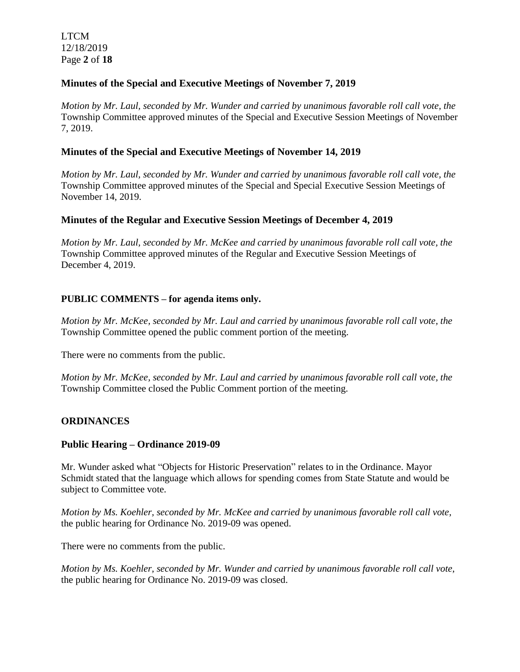LTCM 12/18/2019 Page **2** of **18**

## **Minutes of the Special and Executive Meetings of November 7, 2019**

*Motion by Mr. Laul, seconded by Mr. Wunder and carried by unanimous favorable roll call vote, the* Township Committee approved minutes of the Special and Executive Session Meetings of November 7, 2019.

#### **Minutes of the Special and Executive Meetings of November 14, 2019**

*Motion by Mr. Laul, seconded by Mr. Wunder and carried by unanimous favorable roll call vote, the* Township Committee approved minutes of the Special and Special Executive Session Meetings of November 14, 2019.

#### **Minutes of the Regular and Executive Session Meetings of December 4, 2019**

*Motion by Mr. Laul, seconded by Mr. McKee and carried by unanimous favorable roll call vote, the* Township Committee approved minutes of the Regular and Executive Session Meetings of December 4, 2019.

#### **PUBLIC COMMENTS – for agenda items only.**

*Motion by Mr. McKee, seconded by Mr. Laul and carried by unanimous favorable roll call vote, the* Township Committee opened the public comment portion of the meeting.

There were no comments from the public.

*Motion by Mr. McKee, seconded by Mr. Laul and carried by unanimous favorable roll call vote, the* Township Committee closed the Public Comment portion of the meeting.

#### **ORDINANCES**

#### **Public Hearing – Ordinance 2019-09**

Mr. Wunder asked what "Objects for Historic Preservation" relates to in the Ordinance. Mayor Schmidt stated that the language which allows for spending comes from State Statute and would be subject to Committee vote.

*Motion by Ms. Koehler, seconded by Mr. McKee and carried by unanimous favorable roll call vote,* the public hearing for Ordinance No. 2019-09 was opened.

There were no comments from the public.

*Motion by Ms. Koehler, seconded by Mr. Wunder and carried by unanimous favorable roll call vote,*  the public hearing for Ordinance No. 2019-09 was closed.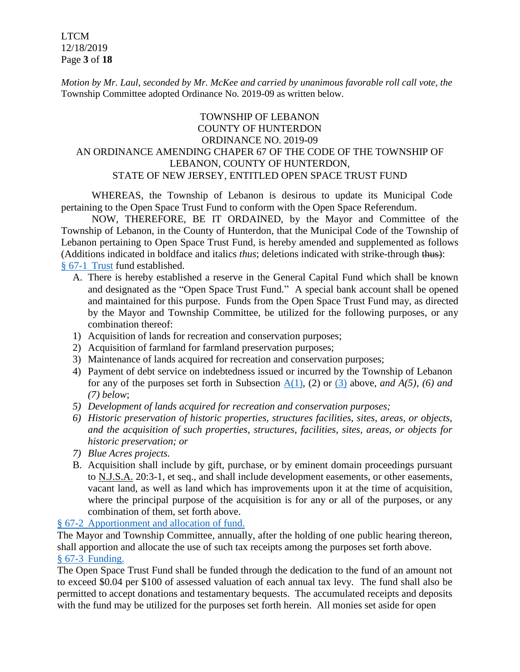LTCM 12/18/2019 Page **3** of **18**

*Motion by Mr. Laul, seconded by Mr. McKee and carried by unanimous favorable roll call vote, the* Township Committee adopted Ordinance No. 2019-09 as written below.

# TOWNSHIP OF LEBANON COUNTY OF HUNTERDON ORDINANCE NO. 2019-09 AN ORDINANCE AMENDING CHAPER 67 OF THE CODE OF THE TOWNSHIP OF LEBANON, COUNTY OF HUNTERDON, STATE OF NEW JERSEY, ENTITLED OPEN SPACE TRUST FUND

WHEREAS, the Township of Lebanon is desirous to update its Municipal Code pertaining to the Open Space Trust Fund to conform with the Open Space Referendum.

NOW, THEREFORE, BE IT ORDAINED, by the Mayor and Committee of the Township of Lebanon, in the County of Hunterdon, that the Municipal Code of the Township of Lebanon pertaining to Open Space Trust Fund, is hereby amended and supplemented as follows (Additions indicated in boldface and italics *thus*; deletions indicated with strike-through thus): § 67-1 [Trust](https://ecode360.com/6916482#6916483) fund established.

- A. There is hereby established a reserve in the General Capital Fund which shall be known and designated as the "Open Space Trust Fund." A special bank account shall be opened and maintained for this purpose. Funds from the Open Space Trust Fund may, as directed by the Mayor and Township Committee, be utilized for the following purposes, or any combination thereof:
- 1) Acquisition of lands for recreation and conservation purposes;
- 2) Acquisition of farmland for farmland preservation purposes;
- 3) Maintenance of lands acquired for recreation and conservation purposes;
- 4) Payment of debt service on indebtedness issued or incurred by the Township of Lebanon for any of the purposes set forth in Subsection [A\(1\),](https://ecode360.com/print/15795431#15795431) (2) or [\(3\)](https://ecode360.com/print/15795432#15795432) above, *and A(5), (6) and (7) below*;
- *5) Development of lands acquired for recreation and conservation purposes;*
- *6) Historic preservation of historic properties, structures facilities, sites, areas, or objects, and the acquisition of such properties, structures, facilities, sites, areas, or objects for historic preservation; or*
- *7) Blue Acres projects.*
- B. Acquisition shall include by gift, purchase, or by eminent domain proceedings pursuant to N.J.S.A. 20:3-1, et seq., and shall include development easements, or other easements, vacant land, as well as land which has improvements upon it at the time of acquisition, where the principal purpose of the acquisition is for any or all of the purposes, or any combination of them, set forth above.

## § 67-2 [Apportionment and allocation of fund.](https://ecode360.com/print/LE2241?guid=15795428&children=true#15795440)

The Mayor and Township Committee, annually, after the holding of one public hearing thereon, shall apportion and allocate the use of such tax receipts among the purposes set forth above. § 67-3 [Funding.](https://ecode360.com/print/LE2241?guid=15795428&children=true#15795435) 

The Open Space Trust Fund shall be funded through the dedication to the fund of an amount not to exceed \$0.04 per \$100 of assessed valuation of each annual tax levy. The fund shall also be permitted to accept donations and testamentary bequests. The accumulated receipts and deposits with the fund may be utilized for the purposes set forth herein. All monies set aside for open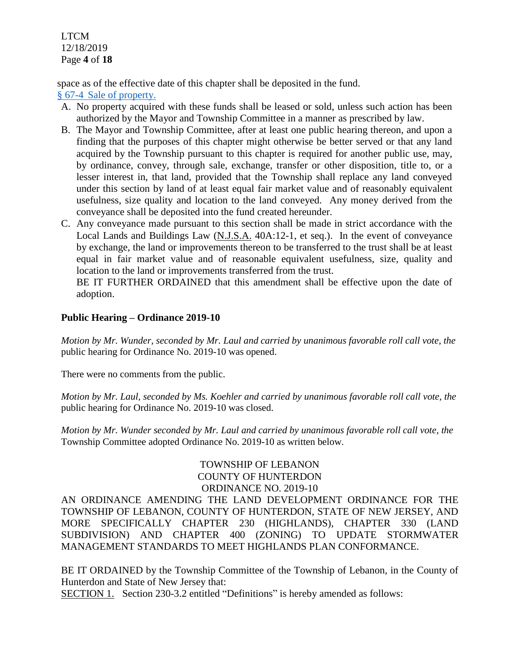LTCM 12/18/2019 Page **4** of **18**

space as of the effective date of this chapter shall be deposited in the fund.

§ 67-4 [Sale of property.](https://ecode360.com/print/LE2241?guid=15795428&children=true#15795436) 

- A. No property acquired with these funds shall be leased or sold, unless such action has been authorized by the Mayor and Township Committee in a manner as prescribed by law.
- B. The Mayor and Township Committee, after at least one public hearing thereon, and upon a finding that the purposes of this chapter might otherwise be better served or that any land acquired by the Township pursuant to this chapter is required for another public use, may, by ordinance, convey, through sale, exchange, transfer or other disposition, title to, or a lesser interest in, that land, provided that the Township shall replace any land conveyed under this section by land of at least equal fair market value and of reasonably equivalent usefulness, size quality and location to the land conveyed. Any money derived from the conveyance shall be deposited into the fund created hereunder.
- C. Any conveyance made pursuant to this section shall be made in strict accordance with the Local Lands and Buildings Law (N.J.S.A. 40A:12-1, et seq.). In the event of conveyance by exchange, the land or improvements thereon to be transferred to the trust shall be at least equal in fair market value and of reasonable equivalent usefulness, size, quality and location to the land or improvements transferred from the trust.

BE IT FURTHER ORDAINED that this amendment shall be effective upon the date of adoption.

# **Public Hearing – Ordinance 2019-10**

*Motion by Mr. Wunder, seconded by Mr. Laul and carried by unanimous favorable roll call vote, the* public hearing for Ordinance No. 2019-10 was opened.

There were no comments from the public.

*Motion by Mr. Laul, seconded by Ms. Koehler and carried by unanimous favorable roll call vote, the* public hearing for Ordinance No. 2019-10 was closed.

*Motion by Mr. Wunder seconded by Mr. Laul and carried by unanimous favorable roll call vote, the* Township Committee adopted Ordinance No. 2019-10 as written below.

# TOWNSHIP OF LEBANON COUNTY OF HUNTERDON ORDINANCE NO. 2019-10

AN ORDINANCE AMENDING THE LAND DEVELOPMENT ORDINANCE FOR THE TOWNSHIP OF LEBANON, COUNTY OF HUNTERDON, STATE OF NEW JERSEY, AND MORE SPECIFICALLY CHAPTER 230 (HIGHLANDS), CHAPTER 330 (LAND SUBDIVISION) AND CHAPTER 400 (ZONING) TO UPDATE STORMWATER MANAGEMENT STANDARDS TO MEET HIGHLANDS PLAN CONFORMANCE.

BE IT ORDAINED by the Township Committee of the Township of Lebanon, in the County of Hunterdon and State of New Jersey that:

SECTION 1. Section 230-3.2 entitled "Definitions" is hereby amended as follows: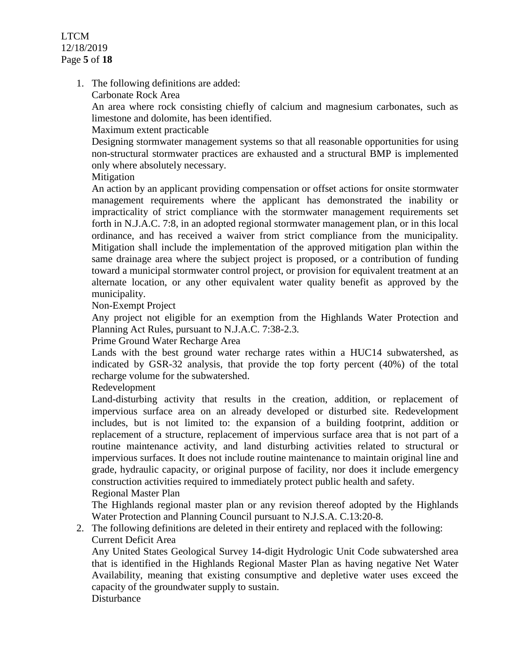LTCM 12/18/2019 Page **5** of **18**

1. The following definitions are added:

Carbonate Rock Area

An area where rock consisting chiefly of calcium and magnesium carbonates, such as limestone and dolomite, has been identified.

Maximum extent practicable

Designing stormwater management systems so that all reasonable opportunities for using non-structural stormwater practices are exhausted and a structural BMP is implemented only where absolutely necessary.

Mitigation

An action by an applicant providing compensation or offset actions for onsite stormwater management requirements where the applicant has demonstrated the inability or impracticality of strict compliance with the stormwater management requirements set forth in N.J.A.C. 7:8, in an adopted regional stormwater management plan, or in this local ordinance, and has received a waiver from strict compliance from the municipality. Mitigation shall include the implementation of the approved mitigation plan within the same drainage area where the subject project is proposed, or a contribution of funding toward a municipal stormwater control project, or provision for equivalent treatment at an alternate location, or any other equivalent water quality benefit as approved by the municipality.

Non-Exempt Project

Any project not eligible for an exemption from the Highlands Water Protection and Planning Act Rules, pursuant to N.J.A.C. 7:38-2.3.

Prime Ground Water Recharge Area

Lands with the best ground water recharge rates within a HUC14 subwatershed, as indicated by GSR-32 analysis, that provide the top forty percent (40%) of the total recharge volume for the subwatershed.

Redevelopment

Land-disturbing activity that results in the creation, addition, or replacement of impervious surface area on an already developed or disturbed site. Redevelopment includes, but is not limited to: the expansion of a building footprint, addition or replacement of a structure, replacement of impervious surface area that is not part of a routine maintenance activity, and land disturbing activities related to structural or impervious surfaces. It does not include routine maintenance to maintain original line and grade, hydraulic capacity, or original purpose of facility, nor does it include emergency construction activities required to immediately protect public health and safety.

Regional Master Plan

The Highlands regional master plan or any revision thereof adopted by the Highlands Water Protection and Planning Council pursuant to N.J.S.A. C.13:20-8.

# 2. The following definitions are deleted in their entirety and replaced with the following: Current Deficit Area

Any United States Geological Survey 14-digit Hydrologic Unit Code subwatershed area that is identified in the Highlands Regional Master Plan as having negative Net Water Availability, meaning that existing consumptive and depletive water uses exceed the capacity of the groundwater supply to sustain. **Disturbance**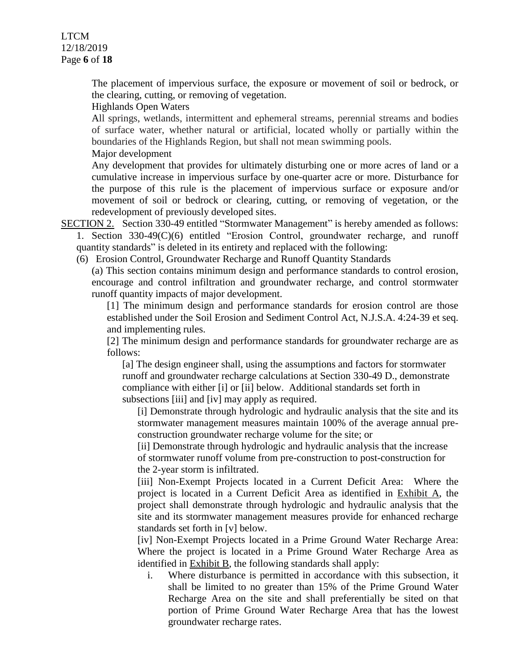The placement of impervious surface, the exposure or movement of soil or bedrock, or the clearing, cutting, or removing of vegetation.

Highlands Open Waters

All springs, wetlands, intermittent and ephemeral streams, perennial streams and bodies of surface water, whether natural or artificial, located wholly or partially within the boundaries of the Highlands Region, but shall not mean swimming pools.

Major development

Any development that provides for ultimately disturbing one or more acres of land or a cumulative increase in impervious surface by one-quarter acre or more. Disturbance for the purpose of this rule is the placement of impervious surface or exposure and/or movement of soil or bedrock or clearing, cutting, or removing of vegetation, or the redevelopment of previously developed sites.

- SECTION 2. Section 330-49 entitled "Stormwater Management" is hereby amended as follows: 1. Section 330-49(C)(6) entitled "Erosion Control, groundwater recharge, and runoff quantity standards" is deleted in its entirety and replaced with the following:
	- (6) Erosion Control, Groundwater Recharge and Runoff Quantity Standards

(a) This section contains minimum design and performance standards to control erosion, encourage and control infiltration and groundwater recharge, and control stormwater runoff quantity impacts of major development.

[1] The minimum design and performance standards for erosion control are those established under the Soil Erosion and Sediment Control Act, N.J.S.A. 4:24-39 et seq. and implementing rules.

[2] The minimum design and performance standards for groundwater recharge are as follows:

[a] The design engineer shall, using the assumptions and factors for stormwater runoff and groundwater recharge calculations at Section 330-49 D., demonstrate compliance with either [i] or [ii] below. Additional standards set forth in subsections [iii] and [iv] may apply as required.

[i] Demonstrate through hydrologic and hydraulic analysis that the site and its stormwater management measures maintain 100% of the average annual preconstruction groundwater recharge volume for the site; or

[ii] Demonstrate through hydrologic and hydraulic analysis that the increase of stormwater runoff volume from pre-construction to post-construction for the 2-year storm is infiltrated.

[iii] Non-Exempt Projects located in a Current Deficit Area: Where the project is located in a Current Deficit Area as identified in Exhibit A, the project shall demonstrate through hydrologic and hydraulic analysis that the site and its stormwater management measures provide for enhanced recharge standards set forth in [v] below.

[iv] Non-Exempt Projects located in a Prime Ground Water Recharge Area: Where the project is located in a Prime Ground Water Recharge Area as identified in Exhibit B, the following standards shall apply:

i. Where disturbance is permitted in accordance with this subsection, it shall be limited to no greater than 15% of the Prime Ground Water Recharge Area on the site and shall preferentially be sited on that portion of Prime Ground Water Recharge Area that has the lowest groundwater recharge rates.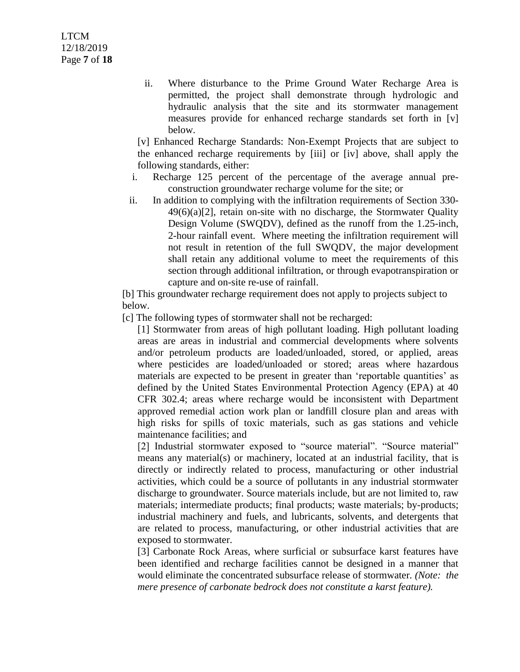ii. Where disturbance to the Prime Ground Water Recharge Area is permitted, the project shall demonstrate through hydrologic and hydraulic analysis that the site and its stormwater management measures provide for enhanced recharge standards set forth in [v] below.

[v] Enhanced Recharge Standards: Non-Exempt Projects that are subject to the enhanced recharge requirements by [iii] or [iv] above, shall apply the following standards, either:

- i. Recharge 125 percent of the percentage of the average annual preconstruction groundwater recharge volume for the site; or
- ii. In addition to complying with the infiltration requirements of Section 330-  $49(6)(a)[2]$ , retain on-site with no discharge, the Stormwater Quality Design Volume (SWQDV), defined as the runoff from the 1.25-inch, 2-hour rainfall event. Where meeting the infiltration requirement will not result in retention of the full SWQDV, the major development shall retain any additional volume to meet the requirements of this section through additional infiltration, or through evapotranspiration or capture and on-site re-use of rainfall.

[b] This groundwater recharge requirement does not apply to projects subject to below.

[c] The following types of stormwater shall not be recharged:

[1] Stormwater from areas of high pollutant loading. High pollutant loading areas are areas in industrial and commercial developments where solvents and/or petroleum products are loaded/unloaded, stored, or applied, areas where pesticides are loaded/unloaded or stored; areas where hazardous materials are expected to be present in greater than 'reportable quantities' as defined by the United States Environmental Protection Agency (EPA) at 40 CFR 302.4; areas where recharge would be inconsistent with Department approved remedial action work plan or landfill closure plan and areas with high risks for spills of toxic materials, such as gas stations and vehicle maintenance facilities; and

[2] Industrial stormwater exposed to "source material". "Source material" means any material(s) or machinery, located at an industrial facility, that is directly or indirectly related to process, manufacturing or other industrial activities, which could be a source of pollutants in any industrial stormwater discharge to groundwater. Source materials include, but are not limited to, raw materials; intermediate products; final products; waste materials; by-products; industrial machinery and fuels, and lubricants, solvents, and detergents that are related to process, manufacturing, or other industrial activities that are exposed to stormwater.

[3] Carbonate Rock Areas, where surficial or subsurface karst features have been identified and recharge facilities cannot be designed in a manner that would eliminate the concentrated subsurface release of stormwater. *(Note: the mere presence of carbonate bedrock does not constitute a karst feature).*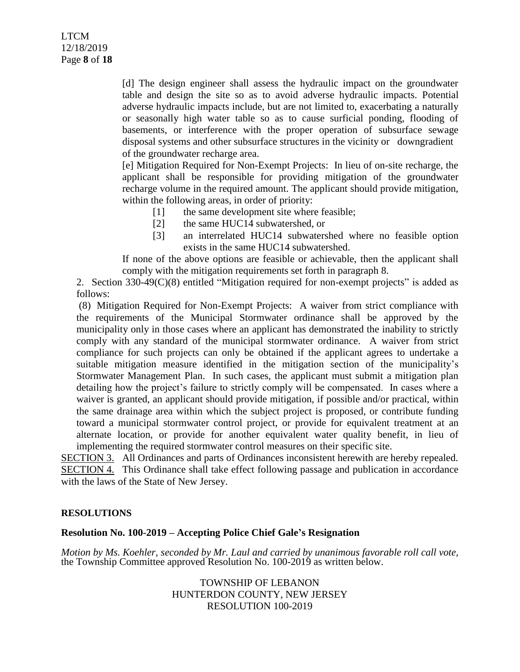[d] The design engineer shall assess the hydraulic impact on the groundwater table and design the site so as to avoid adverse hydraulic impacts. Potential adverse hydraulic impacts include, but are not limited to, exacerbating a naturally or seasonally high water table so as to cause surficial ponding, flooding of basements, or interference with the proper operation of subsurface sewage disposal systems and other subsurface structures in the vicinity or downgradient of the groundwater recharge area.

[e] Mitigation Required for Non-Exempt Projects: In lieu of on-site recharge, the applicant shall be responsible for providing mitigation of the groundwater recharge volume in the required amount. The applicant should provide mitigation, within the following areas, in order of priority:

- [1] the same development site where feasible;
- [2] the same HUC14 subwatershed, or
- [3] an interrelated HUC14 subwatershed where no feasible option exists in the same HUC14 subwatershed.

If none of the above options are feasible or achievable, then the applicant shall comply with the mitigation requirements set forth in paragraph 8.

2. Section 330-49(C)(8) entitled "Mitigation required for non-exempt projects" is added as follows:

(8) Mitigation Required for Non-Exempt Projects: A waiver from strict compliance with the requirements of the Municipal Stormwater ordinance shall be approved by the municipality only in those cases where an applicant has demonstrated the inability to strictly comply with any standard of the municipal stormwater ordinance. A waiver from strict compliance for such projects can only be obtained if the applicant agrees to undertake a suitable mitigation measure identified in the mitigation section of the municipality's Stormwater Management Plan. In such cases, the applicant must submit a mitigation plan detailing how the project's failure to strictly comply will be compensated. In cases where a waiver is granted, an applicant should provide mitigation, if possible and/or practical, within the same drainage area within which the subject project is proposed, or contribute funding toward a municipal stormwater control project, or provide for equivalent treatment at an alternate location, or provide for another equivalent water quality benefit, in lieu of implementing the required stormwater control measures on their specific site.

SECTION 3. All Ordinances and parts of Ordinances inconsistent herewith are hereby repealed. SECTION 4. This Ordinance shall take effect following passage and publication in accordance with the laws of the State of New Jersey.

## **RESOLUTIONS**

## **Resolution No. 100-2019 – Accepting Police Chief Gale's Resignation**

*Motion by Ms. Koehler, seconded by Mr. Laul and carried by unanimous favorable roll call vote,* the Township Committee approved Resolution No. 100-2019 as written below.

> TOWNSHIP OF LEBANON HUNTERDON COUNTY, NEW JERSEY RESOLUTION 100-2019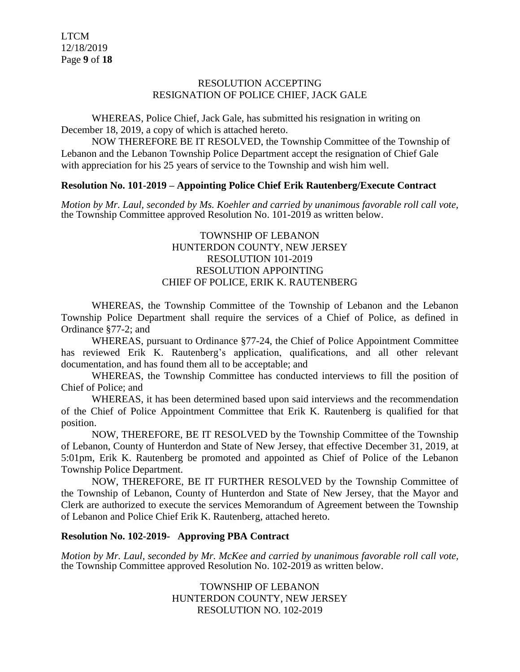#### RESOLUTION ACCEPTING RESIGNATION OF POLICE CHIEF, JACK GALE

WHEREAS, Police Chief, Jack Gale, has submitted his resignation in writing on December 18, 2019, a copy of which is attached hereto.

NOW THEREFORE BE IT RESOLVED, the Township Committee of the Township of Lebanon and the Lebanon Township Police Department accept the resignation of Chief Gale with appreciation for his 25 years of service to the Township and wish him well.

## **Resolution No. 101-2019 – Appointing Police Chief Erik Rautenberg/Execute Contract**

*Motion by Mr. Laul, seconded by Ms. Koehler and carried by unanimous favorable roll call vote,* the Township Committee approved Resolution No. 101-2019 as written below.

## TOWNSHIP OF LEBANON HUNTERDON COUNTY, NEW JERSEY RESOLUTION 101-2019 RESOLUTION APPOINTING CHIEF OF POLICE, ERIK K. RAUTENBERG

WHEREAS, the Township Committee of the Township of Lebanon and the Lebanon Township Police Department shall require the services of a Chief of Police, as defined in Ordinance §77-2; and

WHEREAS, pursuant to Ordinance §77-24, the Chief of Police Appointment Committee has reviewed Erik K. Rautenberg's application, qualifications, and all other relevant documentation, and has found them all to be acceptable; and

WHEREAS, the Township Committee has conducted interviews to fill the position of Chief of Police; and

WHEREAS, it has been determined based upon said interviews and the recommendation of the Chief of Police Appointment Committee that Erik K. Rautenberg is qualified for that position.

NOW, THEREFORE, BE IT RESOLVED by the Township Committee of the Township of Lebanon, County of Hunterdon and State of New Jersey, that effective December 31, 2019, at 5:01pm, Erik K. Rautenberg be promoted and appointed as Chief of Police of the Lebanon Township Police Department.

NOW, THEREFORE, BE IT FURTHER RESOLVED by the Township Committee of the Township of Lebanon, County of Hunterdon and State of New Jersey, that the Mayor and Clerk are authorized to execute the services Memorandum of Agreement between the Township of Lebanon and Police Chief Erik K. Rautenberg, attached hereto.

## **Resolution No. 102-2019- Approving PBA Contract**

*Motion by Mr. Laul, seconded by Mr. McKee and carried by unanimous favorable roll call vote,* the Township Committee approved Resolution No. 102-2019 as written below.

> TOWNSHIP OF LEBANON HUNTERDON COUNTY, NEW JERSEY RESOLUTION NO. 102-2019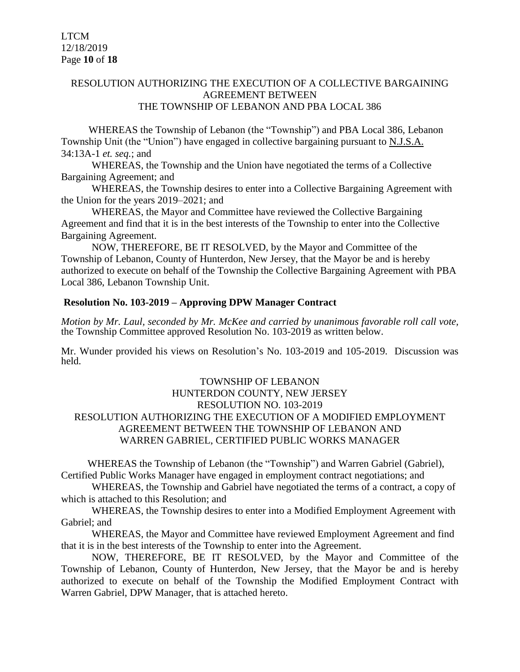## RESOLUTION AUTHORIZING THE EXECUTION OF A COLLECTIVE BARGAINING AGREEMENT BETWEEN THE TOWNSHIP OF LEBANON AND PBA LOCAL 386

WHEREAS the Township of Lebanon (the "Township") and PBA Local 386, Lebanon Township Unit (the "Union") have engaged in collective bargaining pursuant to N.J.S.A. 34:13A-1 *et. seq.*; and

WHEREAS, the Township and the Union have negotiated the terms of a Collective Bargaining Agreement; and

WHEREAS, the Township desires to enter into a Collective Bargaining Agreement with the Union for the years 2019–2021; and

WHEREAS, the Mayor and Committee have reviewed the Collective Bargaining Agreement and find that it is in the best interests of the Township to enter into the Collective Bargaining Agreement.

NOW, THEREFORE, BE IT RESOLVED, by the Mayor and Committee of the Township of Lebanon, County of Hunterdon, New Jersey, that the Mayor be and is hereby authorized to execute on behalf of the Township the Collective Bargaining Agreement with PBA Local 386, Lebanon Township Unit.

## **Resolution No. 103-2019 – Approving DPW Manager Contract**

*Motion by Mr. Laul, seconded by Mr. McKee and carried by unanimous favorable roll call vote,* the Township Committee approved Resolution No. 103-2019 as written below.

Mr. Wunder provided his views on Resolution's No. 103-2019 and 105-2019. Discussion was held.

## TOWNSHIP OF LEBANON HUNTERDON COUNTY, NEW JERSEY RESOLUTION NO. 103-2019 RESOLUTION AUTHORIZING THE EXECUTION OF A MODIFIED EMPLOYMENT AGREEMENT BETWEEN THE TOWNSHIP OF LEBANON AND WARREN GABRIEL, CERTIFIED PUBLIC WORKS MANAGER

WHEREAS the Township of Lebanon (the "Township") and Warren Gabriel (Gabriel), Certified Public Works Manager have engaged in employment contract negotiations; and

WHEREAS, the Township and Gabriel have negotiated the terms of a contract, a copy of which is attached to this Resolution; and

WHEREAS, the Township desires to enter into a Modified Employment Agreement with Gabriel; and

WHEREAS, the Mayor and Committee have reviewed Employment Agreement and find that it is in the best interests of the Township to enter into the Agreement.

NOW, THEREFORE, BE IT RESOLVED, by the Mayor and Committee of the Township of Lebanon, County of Hunterdon, New Jersey, that the Mayor be and is hereby authorized to execute on behalf of the Township the Modified Employment Contract with Warren Gabriel, DPW Manager, that is attached hereto.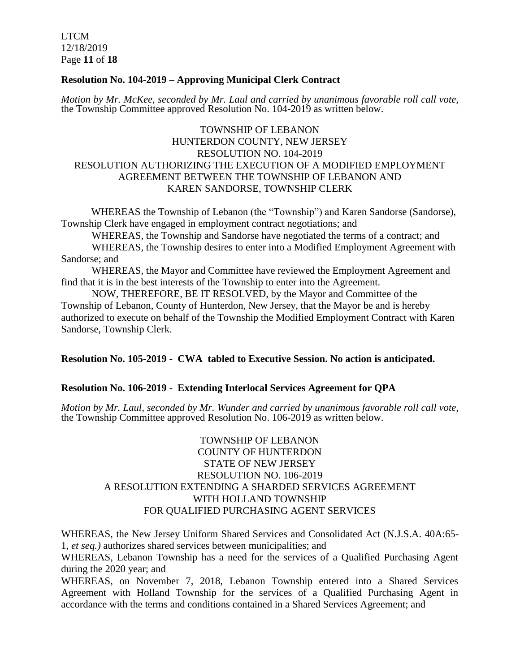LTCM 12/18/2019 Page **11** of **18**

## **Resolution No. 104-2019 – Approving Municipal Clerk Contract**

*Motion by Mr. McKee, seconded by Mr. Laul and carried by unanimous favorable roll call vote,* the Township Committee approved Resolution No. 104-2019 as written below.

## TOWNSHIP OF LEBANON HUNTERDON COUNTY, NEW JERSEY RESOLUTION NO. 104-2019 RESOLUTION AUTHORIZING THE EXECUTION OF A MODIFIED EMPLOYMENT AGREEMENT BETWEEN THE TOWNSHIP OF LEBANON AND KAREN SANDORSE, TOWNSHIP CLERK

 WHEREAS the Township of Lebanon (the "Township") and Karen Sandorse (Sandorse), Township Clerk have engaged in employment contract negotiations; and

WHEREAS, the Township and Sandorse have negotiated the terms of a contract; and

WHEREAS, the Township desires to enter into a Modified Employment Agreement with Sandorse; and

WHEREAS, the Mayor and Committee have reviewed the Employment Agreement and find that it is in the best interests of the Township to enter into the Agreement.

NOW, THEREFORE, BE IT RESOLVED, by the Mayor and Committee of the Township of Lebanon, County of Hunterdon, New Jersey, that the Mayor be and is hereby authorized to execute on behalf of the Township the Modified Employment Contract with Karen Sandorse, Township Clerk.

## **Resolution No. 105-2019 - CWA tabled to Executive Session. No action is anticipated.**

## **Resolution No. 106-2019 - Extending Interlocal Services Agreement for QPA**

*Motion by Mr. Laul, seconded by Mr. Wunder and carried by unanimous favorable roll call vote,* the Township Committee approved Resolution No. 106-2019 as written below.

## TOWNSHIP OF LEBANON COUNTY OF HUNTERDON STATE OF NEW JERSEY RESOLUTION NO. 106-2019 A RESOLUTION EXTENDING A SHARDED SERVICES AGREEMENT WITH HOLLAND TOWNSHIP FOR QUALIFIED PURCHASING AGENT SERVICES

WHEREAS, the New Jersey Uniform Shared Services and Consolidated Act (N.J.S.A. 40A:65- 1, *et seq.)* authorizes shared services between municipalities; and

WHEREAS, Lebanon Township has a need for the services of a Qualified Purchasing Agent during the 2020 year; and

WHEREAS, on November 7, 2018, Lebanon Township entered into a Shared Services Agreement with Holland Township for the services of a Qualified Purchasing Agent in accordance with the terms and conditions contained in a Shared Services Agreement; and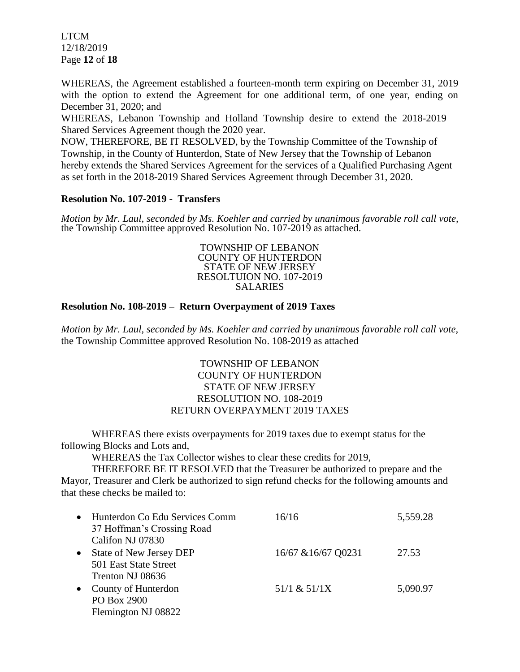LTCM 12/18/2019 Page **12** of **18**

WHEREAS, the Agreement established a fourteen-month term expiring on December 31, 2019 with the option to extend the Agreement for one additional term, of one year, ending on December 31, 2020; and

WHEREAS, Lebanon Township and Holland Township desire to extend the 2018-2019 Shared Services Agreement though the 2020 year.

NOW, THEREFORE, BE IT RESOLVED, by the Township Committee of the Township of Township, in the County of Hunterdon, State of New Jersey that the Township of Lebanon hereby extends the Shared Services Agreement for the services of a Qualified Purchasing Agent as set forth in the 2018-2019 Shared Services Agreement through December 31, 2020.

## **Resolution No. 107-2019 - Transfers**

*Motion by Mr. Laul, seconded by Ms. Koehler and carried by unanimous favorable roll call vote,* the Township Committee approved Resolution No. 107-2019 as attached.

> TOWNSHIP OF LEBANON COUNTY OF HUNTERDON STATE OF NEW JERSEY RESOLTUION NO. 107-2019 SALARIES

## **Resolution No. 108-2019 – Return Overpayment of 2019 Taxes**

*Motion by Mr. Laul, seconded by Ms. Koehler and carried by unanimous favorable roll call vote,* the Township Committee approved Resolution No. 108-2019 as attached

## TOWNSHIP OF LEBANON COUNTY OF HUNTERDON STATE OF NEW JERSEY RESOLUTION NO. 108-2019 RETURN OVERPAYMENT 2019 TAXES

WHEREAS there exists overpayments for 2019 taxes due to exempt status for the following Blocks and Lots and,

WHEREAS the Tax Collector wishes to clear these credits for 2019,

THEREFORE BE IT RESOLVED that the Treasurer be authorized to prepare and the Mayor, Treasurer and Clerk be authorized to sign refund checks for the following amounts and that these checks be mailed to:

| $\bullet$ | Hunterdon Co Edu Services Comm<br>37 Hoffman's Crossing Road | 16/16               | 5,559.28 |
|-----------|--------------------------------------------------------------|---------------------|----------|
|           | Califon NJ 07830                                             |                     |          |
| $\bullet$ | State of New Jersey DEP                                      | 16/67 & 16/67 Q0231 | 27.53    |
|           | 501 East State Street                                        |                     |          |
|           | Trenton NJ 08636                                             |                     |          |
| $\bullet$ | County of Hunterdon                                          | 51/1 & 51/1X        | 5,090.97 |
|           | PO Box 2900                                                  |                     |          |
|           | Flemington NJ 08822                                          |                     |          |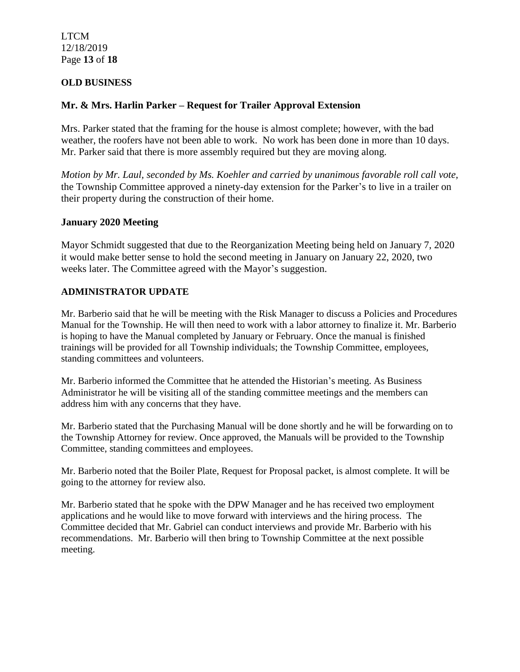LTCM 12/18/2019 Page **13** of **18**

## **OLD BUSINESS**

## **Mr. & Mrs. Harlin Parker – Request for Trailer Approval Extension**

Mrs. Parker stated that the framing for the house is almost complete; however, with the bad weather, the roofers have not been able to work. No work has been done in more than 10 days. Mr. Parker said that there is more assembly required but they are moving along.

*Motion by Mr. Laul, seconded by Ms. Koehler and carried by unanimous favorable roll call vote,* the Township Committee approved a ninety-day extension for the Parker's to live in a trailer on their property during the construction of their home.

## **January 2020 Meeting**

Mayor Schmidt suggested that due to the Reorganization Meeting being held on January 7, 2020 it would make better sense to hold the second meeting in January on January 22, 2020, two weeks later. The Committee agreed with the Mayor's suggestion.

## **ADMINISTRATOR UPDATE**

Mr. Barberio said that he will be meeting with the Risk Manager to discuss a Policies and Procedures Manual for the Township. He will then need to work with a labor attorney to finalize it. Mr. Barberio is hoping to have the Manual completed by January or February. Once the manual is finished trainings will be provided for all Township individuals; the Township Committee, employees, standing committees and volunteers.

Mr. Barberio informed the Committee that he attended the Historian's meeting. As Business Administrator he will be visiting all of the standing committee meetings and the members can address him with any concerns that they have.

Mr. Barberio stated that the Purchasing Manual will be done shortly and he will be forwarding on to the Township Attorney for review. Once approved, the Manuals will be provided to the Township Committee, standing committees and employees.

Mr. Barberio noted that the Boiler Plate, Request for Proposal packet, is almost complete. It will be going to the attorney for review also.

Mr. Barberio stated that he spoke with the DPW Manager and he has received two employment applications and he would like to move forward with interviews and the hiring process. The Committee decided that Mr. Gabriel can conduct interviews and provide Mr. Barberio with his recommendations. Mr. Barberio will then bring to Township Committee at the next possible meeting.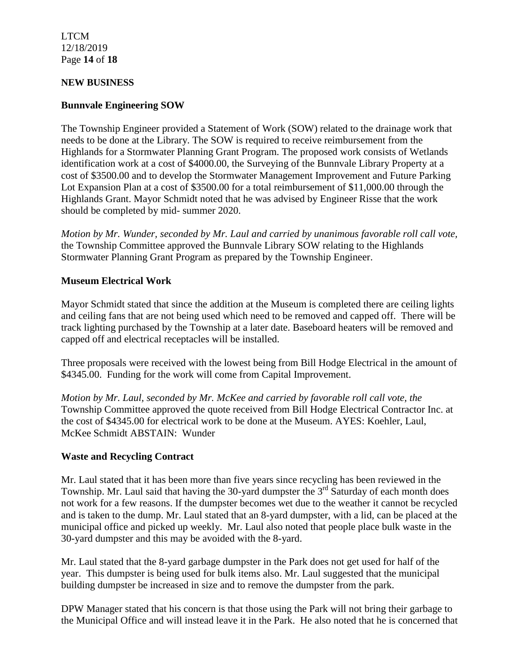LTCM 12/18/2019 Page **14** of **18**

#### **NEW BUSINESS**

## **Bunnvale Engineering SOW**

The Township Engineer provided a Statement of Work (SOW) related to the drainage work that needs to be done at the Library. The SOW is required to receive reimbursement from the Highlands for a Stormwater Planning Grant Program. The proposed work consists of Wetlands identification work at a cost of \$4000.00, the Surveying of the Bunnvale Library Property at a cost of \$3500.00 and to develop the Stormwater Management Improvement and Future Parking Lot Expansion Plan at a cost of \$3500.00 for a total reimbursement of \$11,000.00 through the Highlands Grant. Mayor Schmidt noted that he was advised by Engineer Risse that the work should be completed by mid- summer 2020.

*Motion by Mr. Wunder, seconded by Mr. Laul and carried by unanimous favorable roll call vote,* the Township Committee approved the Bunnvale Library SOW relating to the Highlands Stormwater Planning Grant Program as prepared by the Township Engineer.

## **Museum Electrical Work**

Mayor Schmidt stated that since the addition at the Museum is completed there are ceiling lights and ceiling fans that are not being used which need to be removed and capped off. There will be track lighting purchased by the Township at a later date. Baseboard heaters will be removed and capped off and electrical receptacles will be installed.

Three proposals were received with the lowest being from Bill Hodge Electrical in the amount of \$4345.00. Funding for the work will come from Capital Improvement.

*Motion by Mr. Laul, seconded by Mr. McKee and carried by favorable roll call vote, the* Township Committee approved the quote received from Bill Hodge Electrical Contractor Inc. at the cost of \$4345.00 for electrical work to be done at the Museum. AYES: Koehler, Laul, McKee Schmidt ABSTAIN: Wunder

## **Waste and Recycling Contract**

Mr. Laul stated that it has been more than five years since recycling has been reviewed in the Township. Mr. Laul said that having the 30-yard dumpster the  $3<sup>rd</sup>$  Saturday of each month does not work for a few reasons. If the dumpster becomes wet due to the weather it cannot be recycled and is taken to the dump. Mr. Laul stated that an 8-yard dumpster, with a lid, can be placed at the municipal office and picked up weekly. Mr. Laul also noted that people place bulk waste in the 30-yard dumpster and this may be avoided with the 8-yard.

Mr. Laul stated that the 8-yard garbage dumpster in the Park does not get used for half of the year. This dumpster is being used for bulk items also. Mr. Laul suggested that the municipal building dumpster be increased in size and to remove the dumpster from the park.

DPW Manager stated that his concern is that those using the Park will not bring their garbage to the Municipal Office and will instead leave it in the Park. He also noted that he is concerned that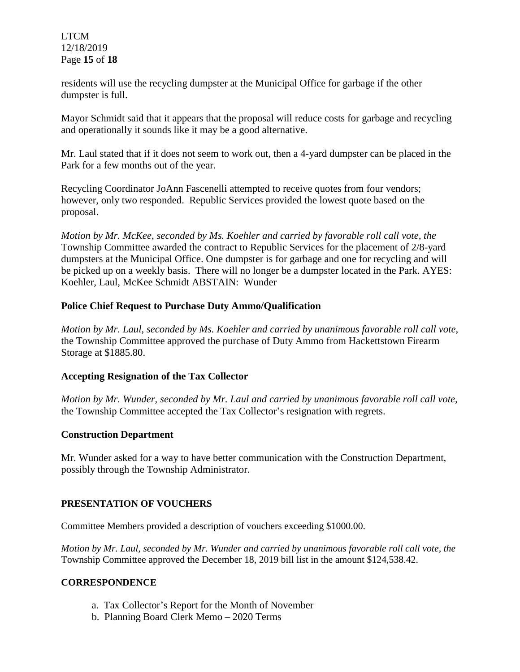LTCM 12/18/2019 Page **15** of **18**

residents will use the recycling dumpster at the Municipal Office for garbage if the other dumpster is full.

Mayor Schmidt said that it appears that the proposal will reduce costs for garbage and recycling and operationally it sounds like it may be a good alternative.

Mr. Laul stated that if it does not seem to work out, then a 4-yard dumpster can be placed in the Park for a few months out of the year.

Recycling Coordinator JoAnn Fascenelli attempted to receive quotes from four vendors; however, only two responded. Republic Services provided the lowest quote based on the proposal.

*Motion by Mr. McKee, seconded by Ms. Koehler and carried by favorable roll call vote, the* Township Committee awarded the contract to Republic Services for the placement of 2/8-yard dumpsters at the Municipal Office. One dumpster is for garbage and one for recycling and will be picked up on a weekly basis. There will no longer be a dumpster located in the Park. AYES: Koehler, Laul, McKee Schmidt ABSTAIN: Wunder

## **Police Chief Request to Purchase Duty Ammo/Qualification**

*Motion by Mr. Laul, seconded by Ms. Koehler and carried by unanimous favorable roll call vote,* the Township Committee approved the purchase of Duty Ammo from Hackettstown Firearm Storage at \$1885.80.

## **Accepting Resignation of the Tax Collector**

*Motion by Mr. Wunder, seconded by Mr. Laul and carried by unanimous favorable roll call vote,* the Township Committee accepted the Tax Collector's resignation with regrets.

## **Construction Department**

Mr. Wunder asked for a way to have better communication with the Construction Department, possibly through the Township Administrator.

## **PRESENTATION OF VOUCHERS**

Committee Members provided a description of vouchers exceeding \$1000.00.

*Motion by Mr. Laul, seconded by Mr. Wunder and carried by unanimous favorable roll call vote, the* Township Committee approved the December 18, 2019 bill list in the amount \$124,538.42.

## **CORRESPONDENCE**

- a. Tax Collector's Report for the Month of November
- b. Planning Board Clerk Memo 2020 Terms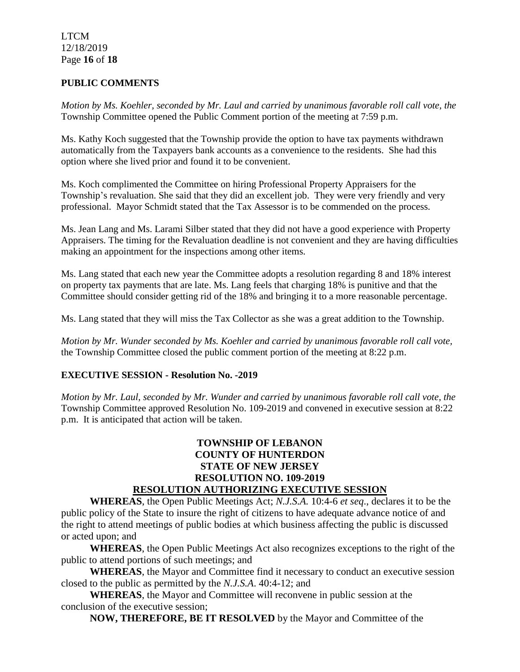## LTCM 12/18/2019 Page **16** of **18**

## **PUBLIC COMMENTS**

*Motion by Ms. Koehler, seconded by Mr. Laul and carried by unanimous favorable roll call vote, the* Township Committee opened the Public Comment portion of the meeting at 7:59 p.m.

Ms. Kathy Koch suggested that the Township provide the option to have tax payments withdrawn automatically from the Taxpayers bank accounts as a convenience to the residents. She had this option where she lived prior and found it to be convenient.

Ms. Koch complimented the Committee on hiring Professional Property Appraisers for the Township's revaluation. She said that they did an excellent job. They were very friendly and very professional. Mayor Schmidt stated that the Tax Assessor is to be commended on the process.

Ms. Jean Lang and Ms. Larami Silber stated that they did not have a good experience with Property Appraisers. The timing for the Revaluation deadline is not convenient and they are having difficulties making an appointment for the inspections among other items.

Ms. Lang stated that each new year the Committee adopts a resolution regarding 8 and 18% interest on property tax payments that are late. Ms. Lang feels that charging 18% is punitive and that the Committee should consider getting rid of the 18% and bringing it to a more reasonable percentage.

Ms. Lang stated that they will miss the Tax Collector as she was a great addition to the Township.

*Motion by Mr. Wunder seconded by Ms. Koehler and carried by unanimous favorable roll call vote,* the Township Committee closed the public comment portion of the meeting at 8:22 p.m.

## **EXECUTIVE SESSION - Resolution No. -2019**

*Motion by Mr. Laul, seconded by Mr. Wunder and carried by unanimous favorable roll call vote, the* Township Committee approved Resolution No. 109-2019 and convened in executive session at 8:22 p.m. It is anticipated that action will be taken.

## **TOWNSHIP OF LEBANON COUNTY OF HUNTERDON STATE OF NEW JERSEY RESOLUTION NO. 109-2019 RESOLUTION AUTHORIZING EXECUTIVE SESSION**

**WHEREAS**, the Open Public Meetings Act; *N.J.S.A.* 10:4-6 *et seq*., declares it to be the public policy of the State to insure the right of citizens to have adequate advance notice of and the right to attend meetings of public bodies at which business affecting the public is discussed or acted upon; and

**WHEREAS**, the Open Public Meetings Act also recognizes exceptions to the right of the public to attend portions of such meetings; and

**WHEREAS**, the Mayor and Committee find it necessary to conduct an executive session closed to the public as permitted by the *N.J.S.A*. 40:4-12; and

**WHEREAS**, the Mayor and Committee will reconvene in public session at the conclusion of the executive session;

**NOW, THEREFORE, BE IT RESOLVED** by the Mayor and Committee of the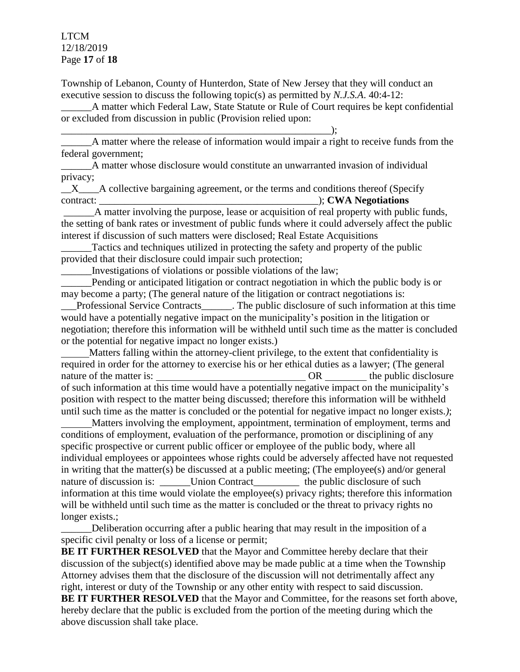## LTCM 12/18/2019 Page **17** of **18**

Township of Lebanon, County of Hunterdon, State of New Jersey that they will conduct an executive session to discuss the following topic(s) as permitted by *N.J.S.A*. 40:4-12:

A matter which Federal Law, State Statute or Rule of Court requires be kept confidential or excluded from discussion in public (Provision relied upon:

\_\_\_\_\_\_\_\_\_\_\_\_\_\_\_\_\_\_\_\_\_\_\_\_\_\_\_\_\_\_\_\_\_\_\_\_\_\_\_\_\_\_\_\_\_\_\_\_\_\_\_\_\_); A matter where the release of information would impair a right to receive funds from the federal government;

\_\_\_\_\_\_A matter whose disclosure would constitute an unwarranted invasion of individual privacy;

\_\_X\_\_\_\_A collective bargaining agreement, or the terms and conditions thereof (Specify contract:  $\bullet$  **CWA Negotiations** 

A matter involving the purpose, lease or acquisition of real property with public funds, the setting of bank rates or investment of public funds where it could adversely affect the public interest if discussion of such matters were disclosed; Real Estate Acquisitions

Tactics and techniques utilized in protecting the safety and property of the public provided that their disclosure could impair such protection;

\_\_\_\_\_\_Investigations of violations or possible violations of the law;

Pending or anticipated litigation or contract negotiation in which the public body is or may become a party; (The general nature of the litigation or contract negotiations is:

\_\_\_Professional Service Contracts\_\_\_\_\_\_. The public disclosure of such information at this time would have a potentially negative impact on the municipality's position in the litigation or negotiation; therefore this information will be withheld until such time as the matter is concluded or the potential for negative impact no longer exists.)

 Matters falling within the attorney-client privilege, to the extent that confidentiality is required in order for the attorney to exercise his or her ethical duties as a lawyer; (The general nature of the matter is: OR the public disclosure of such information at this time would have a potentially negative impact on the municipality's position with respect to the matter being discussed; therefore this information will be withheld until such time as the matter is concluded or the potential for negative impact no longer exists.*)*;

 Matters involving the employment, appointment, termination of employment, terms and conditions of employment, evaluation of the performance, promotion or disciplining of any specific prospective or current public officer or employee of the public body, where all individual employees or appointees whose rights could be adversely affected have not requested in writing that the matter(s) be discussed at a public meeting; (The employee(s) and/or general nature of discussion is: \_\_\_\_\_\_\_Union Contract\_\_\_\_\_\_\_\_\_\_\_ the public disclosure of such information at this time would violate the employee(s) privacy rights; therefore this information will be withheld until such time as the matter is concluded or the threat to privacy rights no longer exists.;

Deliberation occurring after a public hearing that may result in the imposition of a specific civil penalty or loss of a license or permit;

**BE IT FURTHER RESOLVED** that the Mayor and Committee hereby declare that their discussion of the subject(s) identified above may be made public at a time when the Township Attorney advises them that the disclosure of the discussion will not detrimentally affect any right, interest or duty of the Township or any other entity with respect to said discussion. **BE IT FURTHER RESOLVED** that the Mayor and Committee, for the reasons set forth above, hereby declare that the public is excluded from the portion of the meeting during which the above discussion shall take place.